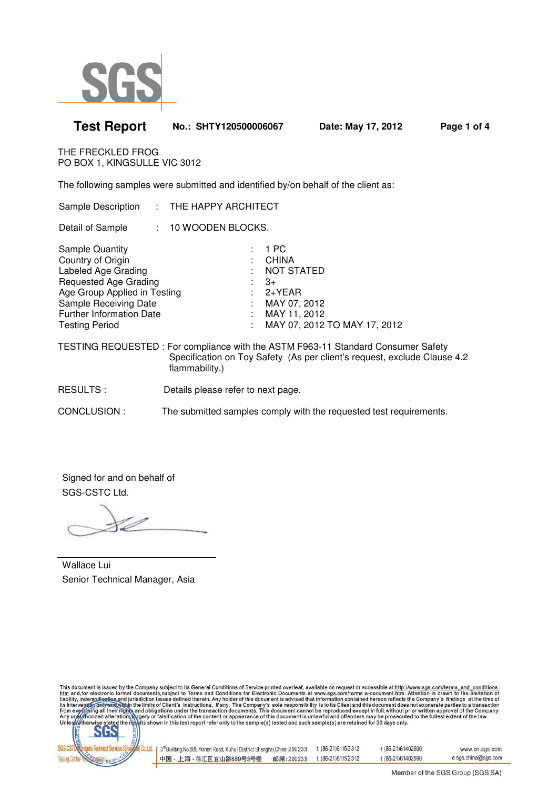

| <b>Test Report</b>                                                                                                                                                                                               | No.: SHTY120500006067 |                                                                                                           | Date: May 17, 2012           | Page 1 of 4 |
|------------------------------------------------------------------------------------------------------------------------------------------------------------------------------------------------------------------|-----------------------|-----------------------------------------------------------------------------------------------------------|------------------------------|-------------|
| THE FRECKLED FROG<br>PO BOX 1, KINGSULLE VIC 3012                                                                                                                                                                |                       |                                                                                                           |                              |             |
| The following samples were submitted and identified by/on behalf of the client as:                                                                                                                               |                       |                                                                                                           |                              |             |
| Sample Description : THE HAPPY ARCHITECT                                                                                                                                                                         |                       |                                                                                                           |                              |             |
| Detail of Sample : 10 WOODEN BLOCKS.                                                                                                                                                                             |                       |                                                                                                           |                              |             |
| <b>Sample Quantity</b><br>Country of Origin<br>Labeled Age Grading<br>Requested Age Grading<br>Age Group Applied in Testing<br>Sample Receiving Date<br><b>Further Information Date</b><br><b>Testing Period</b> |                       | 1 PC<br>: CHINA<br><b>NOT STATED</b><br>$\therefore$ 3+<br>$: 2+YEAR$<br>: MAY 07, 2012<br>: MAY 11, 2012 | MAY 07, 2012 TO MAY 17, 2012 |             |
| TECTING DEOUECTED : Ear compliance with the ACTM E000 11 Ctopdard Capoumer Cafety                                                                                                                                |                       |                                                                                                           |                              |             |

TESTING REQUESTED : For compliance with the ASTM F963-11 Standard Consumer Safety Specification on Toy Safety (As per client's request, exclude Clause 4.2 flammability.)

RESULTS : Details please refer to next page.

CONCLUSION : The submitted samples comply with the requested test requirements.

Signed for and on behalf of SGS-CSTC Ltd.

Wallace Lui Senior Technical Manager, Asia



| 3 <sup>rd</sup> Building, No.889, Yishan Road, Xuhui District Shanghai, China 200233 |           | t (86-21) 61152312 | f (86-21)61402590 | www.cn.sgs.com      |
|--------------------------------------------------------------------------------------|-----------|--------------------|-------------------|---------------------|
| 中国・上海・徐汇区宜山路889号3号楼                                                                  | 邮编:200233 | t (86-21)61152312  | f (86-21)61402590 | e sgs.china@sgs.com |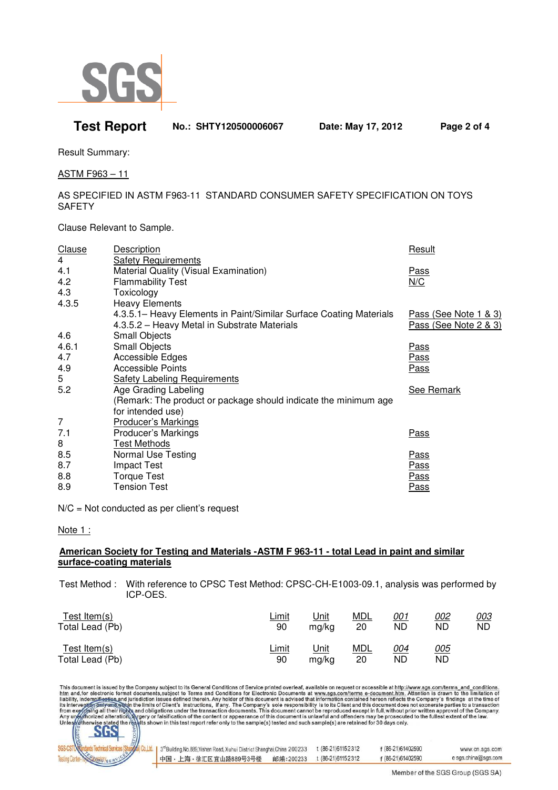

## **Test Report No.: SHTY120500006067 Date: May 17, 2012 Page 2 of 4**

Result Summary:

ASTM F963 – 11

### AS SPECIFIED IN ASTM F963-11 STANDARD CONSUMER SAFETY SPECIFICATION ON TOYS **SAFETY**

Clause Relevant to Sample.

| Clause<br>4 | <b>Description</b><br><b>Safety Requirements</b>                   | Result                |
|-------------|--------------------------------------------------------------------|-----------------------|
| 4.1         | Material Quality (Visual Examination)                              | <u>Pass</u>           |
| 4.2         | <b>Flammability Test</b>                                           | N/C                   |
| 4.3         | Toxicology                                                         |                       |
| 4.3.5       | <b>Heavy Elements</b>                                              |                       |
|             | 4.3.5.1– Heavy Elements in Paint/Similar Surface Coating Materials | Pass (See Note 1 & 3) |
|             | 4.3.5.2 - Heavy Metal in Substrate Materials                       | Pass (See Note 2 & 3) |
| 4.6         | <b>Small Objects</b>                                               |                       |
| 4.6.1       | Small Objects                                                      | <u>Pass</u>           |
| 4.7         | Accessible Edges                                                   | Pass                  |
| 4.9         | <b>Accessible Points</b>                                           | <u>Pass</u>           |
| 5           | <b>Safety Labeling Requirements</b>                                |                       |
| 5.2         | Age Grading Labeling                                               | <b>See Remark</b>     |
|             | (Remark: The product or package should indicate the minimum age    |                       |
|             | for intended use)                                                  |                       |
| 7           | <b>Producer's Markings</b>                                         |                       |
| 7.1         | Producer's Markings                                                | <u>Pass</u>           |
| 8           | <b>Test Methods</b>                                                |                       |
| 8.5         | Normal Use Testing                                                 | <b>Pass</b>           |
| 8.7         | <b>Impact Test</b>                                                 | <u>Pass</u>           |
| 8.8         | <b>Torque Test</b>                                                 | <u>Pass</u>           |
| 8.9         | <b>Tension Test</b>                                                | Pass                  |

N/C = Not conducted as per client's request

Note 1 :

#### **American Society for Testing and Materials -ASTM F 963-11 - total Lead in paint and similar surface-coating materials**

 Test Method : With reference to CPSC Test Method: CPSC-CH-E1003-09.1, analysis was performed by ICP-OES.

| Test Item(s)    | <u>Limit</u> | <u>Unit</u> | <u>MDL</u> | <u>001</u> | <u>002</u> | <u>00З</u> |
|-----------------|--------------|-------------|------------|------------|------------|------------|
| Total Lead (Pb) | 90           | ma/ka       | 20         | ND         | ND         | ND         |
| Test Item $(s)$ | <u>Limit</u> | <u>Unit</u> | <u>MDL</u> | <u>004</u> | <u>005</u> |            |
| Total Lead (Pb) | 90           | mg/kg       | 20         | ND         | ND         |            |



| 3 <sup>rd</sup> Building, No.889, Yishan Road, Xuhui District Shanghai, China 200233 |           | t (86-21)61152312 | f (86-21)61402590 | www.cn.sgs.com      |
|--------------------------------------------------------------------------------------|-----------|-------------------|-------------------|---------------------|
| 中国・上海・徐汇区宜山路889号3号楼                                                                  | 邮编:200233 | t (86-21)61152312 | f (86-21)61402590 | e sgs.china@sgs.com |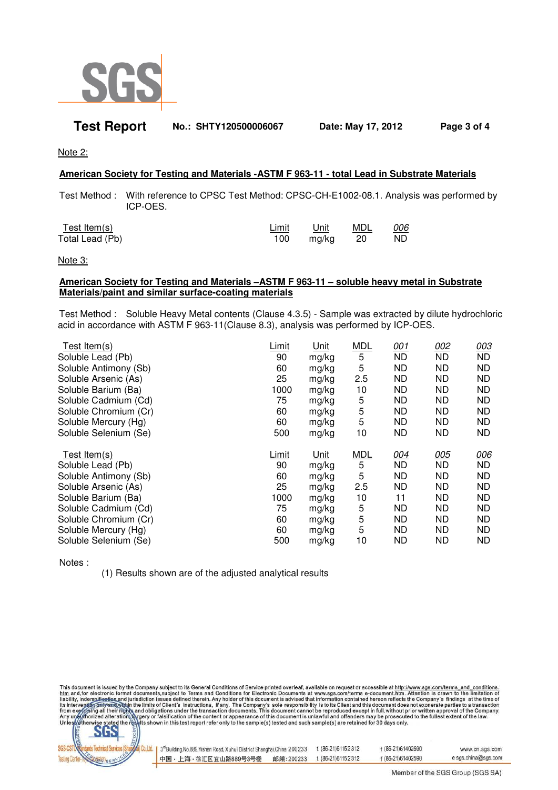

## **Test Report No.: SHTY120500006067 Date: May 17, 2012 Page 3 of 4**

Note 2:

#### **American Society for Testing and Materials -ASTM F 963-11 - total Lead in Substrate Materials**

 Test Method : With reference to CPSC Test Method: CPSC-CH-E1002-08.1. Analysis was performed by ICP-OES.

| Test Item(s)    | Limit | Unit  | MDL  | 006 |
|-----------------|-------|-------|------|-----|
| Total Lead (Pb) | 100   | mg/kg | - 20 | ND. |

Note 3:

#### **American Society for Testing and Materials –ASTM F 963-11 – soluble heavy metal in Substrate Materials/paint and similar surface-coating materials**

 Test Method : Soluble Heavy Metal contents (Clause 4.3.5) - Sample was extracted by dilute hydrochloric acid in accordance with ASTM F 963-11(Clause 8.3), analysis was performed by ICP-OES.

| Test Item(s)          | _imit | Unit  | <b>MDL</b> | 001       | 002       | 003       |
|-----------------------|-------|-------|------------|-----------|-----------|-----------|
| Soluble Lead (Pb)     | 90    | mg/kg | 5          | <b>ND</b> | <b>ND</b> | <b>ND</b> |
| Soluble Antimony (Sb) | 60    | mg/kg | 5          | ND.       | <b>ND</b> | ND.       |
| Soluble Arsenic (As)  | 25    | mg/kg | 2.5        | ND.       | ND        | ND.       |
| Soluble Barium (Ba)   | 1000  | mg/kg | 10         | ND.       | ND        | ND.       |
| Soluble Cadmium (Cd)  | 75    | mg/kg | 5          | ND.       | ND        | ND.       |
| Soluble Chromium (Cr) | 60    | mg/kg | 5          | ND.       | <b>ND</b> | ND.       |
| Soluble Mercury (Hg)  | 60    | mg/kg | 5          | ND.       | ND        | ND.       |
| Soluble Selenium (Se) | 500   | mg/kg | 10         | ND.       | ND        | ND.       |
| Test Item $(s)$       | Limit | Unit  | <b>MDL</b> | 004       | 005       | 006       |
|                       |       |       |            |           |           |           |
| Soluble Lead (Pb)     | 90    | mg/kg | 5          | <b>ND</b> | <b>ND</b> | <b>ND</b> |
| Soluble Antimony (Sb) | 60    | mg/kg | 5          | <b>ND</b> | <b>ND</b> | <b>ND</b> |
| Soluble Arsenic (As)  | 25    | mg/kg | 2.5        | <b>ND</b> | <b>ND</b> | <b>ND</b> |
| Soluble Barium (Ba)   | 1000  | mg/kg | 10         | 11        | ND        | ND.       |
| Soluble Cadmium (Cd)  | 75    | mg/kg | 5          | <b>ND</b> | ND        | ND.       |
| Soluble Chromium (Cr) | 60    | mg/kg | 5          | ND.       | ND        | ND.       |
| Soluble Mercury (Hg)  | 60    | mg/kg | 5          | ND.       | ND        | ND.       |

Notes :

(1) Results shown are of the adjusted analytical results



| 3 <sup>nd</sup> Building, No.889, Yishan Road, Xuhui District Shanghai, China 200233 |           | . (86-21)61152312 | f (86-21)61402590 | www.cn.sgs.com      |
|--------------------------------------------------------------------------------------|-----------|-------------------|-------------------|---------------------|
| 中国・上海・徐汇区宜山路889号3号楼                                                                  | 邮编:200233 | t (86-21)61152312 | f (86-21)61402590 | e sgs.china@sgs.com |